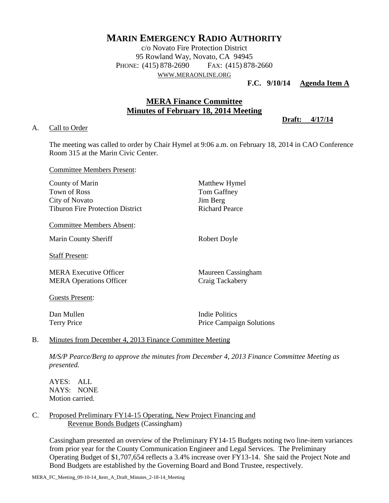# **MARIN EMERGENCY RADIO AUTHORITY**

c/o Novato Fire Protection District 95 Rowland Way, Novato, CA 94945 PHONE: (415) 878-2690 FAX: (415) 878-2660 WWW.[MERAONLINE](http://www.meraonline.org/).ORG

**F.C. 9/10/14 Agenda Item A**

## **MERA Finance Committee Minutes of February 18, 2014 Meeting**

**Draft: 4/17/14**

#### A. Call to Order

The meeting was called to order by Chair Hymel at 9:06 a.m. on February 18, 2014 in CAO Conference Room 315 at the Marin Civic Center.

Committee Members Present:

| County of Marin                         | Matthew Hymel                   |
|-----------------------------------------|---------------------------------|
| Town of Ross                            | Tom Gaffney                     |
| City of Novato                          | Jim Berg                        |
| <b>Tiburon Fire Protection District</b> | Richard Pearce                  |
| <b>Committee Members Absent:</b>        |                                 |
| Marin County Sheriff                    | Robert Doyle                    |
| <b>Staff Present:</b>                   |                                 |
| <b>MERA Executive Officer</b>           | Maureen Cassingham              |
| <b>MERA Operations Officer</b>          | Craig Tackabery                 |
| Guests Present:                         |                                 |
| Dan Mullen                              | <b>Indie Politics</b>           |
| <b>Terry Price</b>                      | <b>Price Campaign Solutions</b> |
|                                         |                                 |

### B. Minutes from December 4, 2013 Finance Committee Meeting

*M/S/P Pearce/Berg to approve the minutes from December 4, 2013 Finance Committee Meeting as presented.*

AYES: ALL NAYS: NONE Motion carried.

### C. Proposed Preliminary FY14-15 Operating, New Project Financing and Revenue Bonds Budgets (Cassingham)

Cassingham presented an overview of the Preliminary FY14-15 Budgets noting two line-item variances from prior year for the County Communication Engineer and Legal Services. The Preliminary Operating Budget of \$1,707,654 reflects a 3.4% increase over FY13-14. She said the Project Note and Bond Budgets are established by the Governing Board and Bond Trustee, respectively.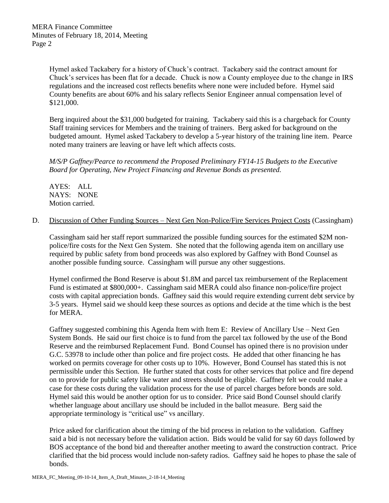Hymel asked Tackabery for a history of Chuck's contract. Tackabery said the contract amount for Chuck's services has been flat for a decade. Chuck is now a County employee due to the change in IRS regulations and the increased cost reflects benefits where none were included before. Hymel said County benefits are about 60% and his salary reflects Senior Engineer annual compensation level of \$121,000.

Berg inquired about the \$31,000 budgeted for training. Tackabery said this is a chargeback for County Staff training services for Members and the training of trainers. Berg asked for background on the budgeted amount. Hymel asked Tackabery to develop a 5-year history of the training line item. Pearce noted many trainers are leaving or have left which affects costs.

*M/S/P Gaffney/Pearce to recommend the Proposed Preliminary FY14-15 Budgets to the Executive Board for Operating, New Project Financing and Revenue Bonds as presented.* 

AYES: ALL NAYS: NONE Motion carried.

D. Discussion of Other Funding Sources – Next Gen Non-Police/Fire Services Project Costs (Cassingham)

Cassingham said her staff report summarized the possible funding sources for the estimated \$2M nonpolice/fire costs for the Next Gen System. She noted that the following agenda item on ancillary use required by public safety from bond proceeds was also explored by Gaffney with Bond Counsel as another possible funding source. Cassingham will pursue any other suggestions.

Hymel confirmed the Bond Reserve is about \$1.8M and parcel tax reimbursement of the Replacement Fund is estimated at \$800,000+. Cassingham said MERA could also finance non-police/fire project costs with capital appreciation bonds. Gaffney said this would require extending current debt service by 3-5 years. Hymel said we should keep these sources as options and decide at the time which is the best for MERA.

Gaffney suggested combining this Agenda Item with Item E: Review of Ancillary Use – Next Gen System Bonds. He said our first choice is to fund from the parcel tax followed by the use of the Bond Reserve and the reimbursed Replacement Fund. Bond Counsel has opined there is no provision under G.C. 53978 to include other than police and fire project costs. He added that other financing he has worked on permits coverage for other costs up to 10%. However, Bond Counsel has stated this is not permissible under this Section. He further stated that costs for other services that police and fire depend on to provide for public safety like water and streets should be eligible. Gaffney felt we could make a case for these costs during the validation process for the use of parcel charges before bonds are sold. Hymel said this would be another option for us to consider. Price said Bond Counsel should clarify whether language about ancillary use should be included in the ballot measure. Berg said the appropriate terminology is "critical use" vs ancillary.

Price asked for clarification about the timing of the bid process in relation to the validation. Gaffney said a bid is not necessary before the validation action. Bids would be valid for say 60 days followed by BOS acceptance of the bond bid and thereafter another meeting to award the construction contract. Price clarified that the bid process would include non-safety radios. Gaffney said he hopes to phase the sale of bonds.